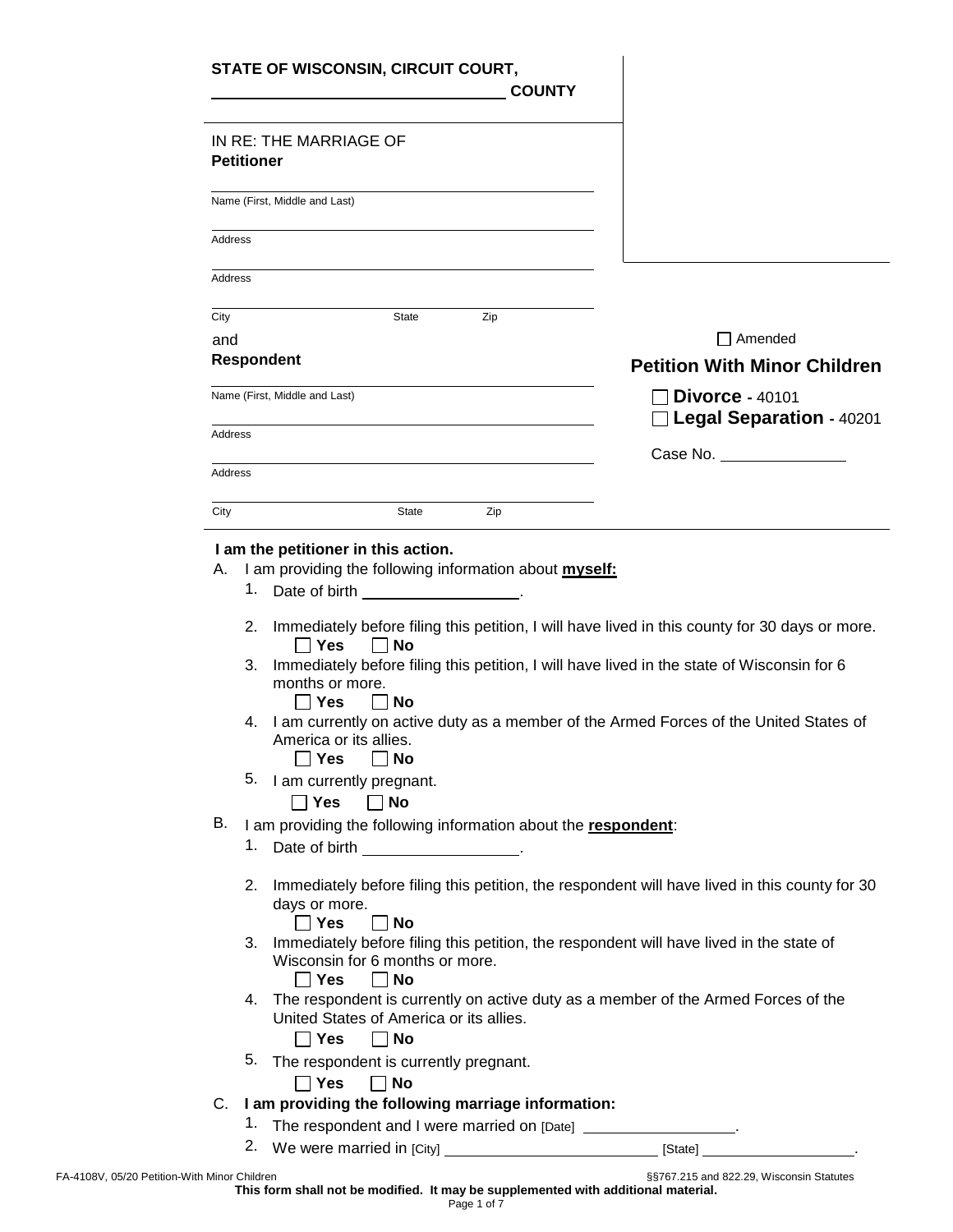|                   | STATE OF WISCONSIN, CIRCUIT COURT,                                                                                                                                                                                            | <b>COUNTY</b>                                                                                                                                                                                |
|-------------------|-------------------------------------------------------------------------------------------------------------------------------------------------------------------------------------------------------------------------------|----------------------------------------------------------------------------------------------------------------------------------------------------------------------------------------------|
| <b>Petitioner</b> | IN RE: THE MARRIAGE OF                                                                                                                                                                                                        |                                                                                                                                                                                              |
|                   | Name (First, Middle and Last)                                                                                                                                                                                                 |                                                                                                                                                                                              |
| Address           |                                                                                                                                                                                                                               |                                                                                                                                                                                              |
| Address           |                                                                                                                                                                                                                               |                                                                                                                                                                                              |
| City              | State                                                                                                                                                                                                                         | Zip                                                                                                                                                                                          |
| and               |                                                                                                                                                                                                                               | $\Box$ Amended                                                                                                                                                                               |
|                   | <b>Respondent</b>                                                                                                                                                                                                             | <b>Petition With Minor Children</b>                                                                                                                                                          |
|                   | Name (First, Middle and Last)                                                                                                                                                                                                 | $\Box$ Divorce - 40101                                                                                                                                                                       |
|                   |                                                                                                                                                                                                                               | $\Box$ Legal Separation - 40201                                                                                                                                                              |
| Address           |                                                                                                                                                                                                                               | Case No. <u>___________</u>                                                                                                                                                                  |
| Address           |                                                                                                                                                                                                                               |                                                                                                                                                                                              |
|                   |                                                                                                                                                                                                                               |                                                                                                                                                                                              |
| City              | State                                                                                                                                                                                                                         | Zip                                                                                                                                                                                          |
| 1.<br>2.<br>3.    | <b>Yes</b><br>∣ ∣No                                                                                                                                                                                                           | Immediately before filing this petition, I will have lived in this county for 30 days or more.<br>Immediately before filing this petition, I will have lived in the state of Wisconsin for 6 |
|                   | months or more.<br>Yes<br>$\Box$ No<br>America or its allies.                                                                                                                                                                 | 4. I am currently on active duty as a member of the Armed Forces of the United States of                                                                                                     |
| 5.                | Yes<br>∣ ∣No<br>I am currently pregnant.                                                                                                                                                                                      |                                                                                                                                                                                              |
|                   | <b>Yes</b><br>$\Box$ No                                                                                                                                                                                                       |                                                                                                                                                                                              |
|                   | I am providing the following information about the respondent:                                                                                                                                                                |                                                                                                                                                                                              |
| В.<br>1.          | Date of birth the state of the state of the state of the state of the state of the state of the state of the state of the state of the state of the state of the state of the state of the state of the state of the state of |                                                                                                                                                                                              |
| 2.                | days or more.                                                                                                                                                                                                                 | Immediately before filing this petition, the respondent will have lived in this county for 30                                                                                                |
| 3.                | <b>No</b><br>Yes<br>Wisconsin for 6 months or more.                                                                                                                                                                           | Immediately before filing this petition, the respondent will have lived in the state of                                                                                                      |
| 4.                | $\Box$ Yes<br>∣ No<br>United States of America or its allies.                                                                                                                                                                 | The respondent is currently on active duty as a member of the Armed Forces of the                                                                                                            |
| 5.                | $\Box$ Yes<br>$\Box$ No                                                                                                                                                                                                       |                                                                                                                                                                                              |
|                   | The respondent is currently pregnant.                                                                                                                                                                                         |                                                                                                                                                                                              |
|                   | $\sqcap$ Yes<br>$\Box$ No                                                                                                                                                                                                     |                                                                                                                                                                                              |
| $C_{\cdot}$<br>1. | I am providing the following marriage information:                                                                                                                                                                            | The respondent and I were married on [Date] __________________.                                                                                                                              |

**This form shall not be modified. It may be supplemented with additional material.**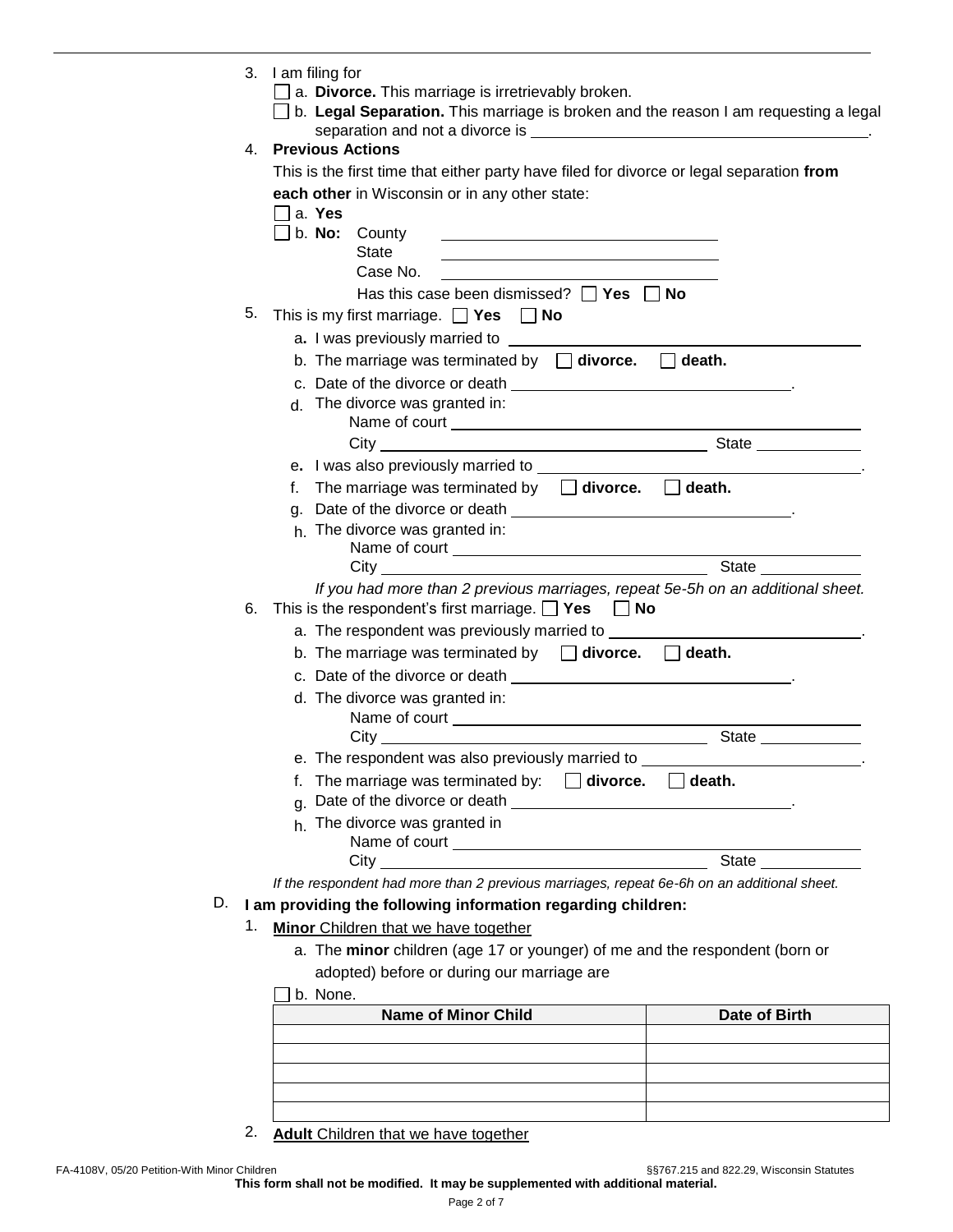|    | 3. | I am filing for<br>a. Divorce. This marriage is irretrievably broken.<br>□ b. Legal Separation. This marriage is broken and the reason I am requesting a legal                                                                       |                      |
|----|----|--------------------------------------------------------------------------------------------------------------------------------------------------------------------------------------------------------------------------------------|----------------------|
|    |    |                                                                                                                                                                                                                                      |                      |
|    | 4. | <b>Previous Actions</b>                                                                                                                                                                                                              |                      |
|    |    | This is the first time that either party have filed for divorce or legal separation from                                                                                                                                             |                      |
|    |    | each other in Wisconsin or in any other state:                                                                                                                                                                                       |                      |
|    |    | a. Yes                                                                                                                                                                                                                               |                      |
|    |    | $\Box$ b. <b>No:</b> County<br><b>State</b>                                                                                                                                                                                          |                      |
|    |    | Case No.                                                                                                                                                                                                                             |                      |
|    |    | Has this case been dismissed? $\Box$ Yes $\Box$ No                                                                                                                                                                                   |                      |
|    | 5. | This is my first marriage. $\Box$ Yes $\Box$ No                                                                                                                                                                                      |                      |
|    |    | a. I was previously married to <b>way to the control of the control of the control of the control of the control of the control of the control of the control of the control of the control of the control of the control of the</b> |                      |
|    |    | b. The marriage was terminated by $\Box$ divorce. $\Box$ death.                                                                                                                                                                      |                      |
|    |    | c. Date of the divorce or death __________________________________.                                                                                                                                                                  |                      |
|    |    | d. The divorce was granted in:                                                                                                                                                                                                       |                      |
|    |    |                                                                                                                                                                                                                                      |                      |
|    |    |                                                                                                                                                                                                                                      |                      |
|    |    |                                                                                                                                                                                                                                      |                      |
|    |    | f. The marriage was terminated by $\Box$ divorce. $\Box$ death.                                                                                                                                                                      |                      |
|    |    |                                                                                                                                                                                                                                      |                      |
|    |    | h. The divorce was granted in:                                                                                                                                                                                                       |                      |
|    |    |                                                                                                                                                                                                                                      |                      |
|    |    |                                                                                                                                                                                                                                      | State ______________ |
|    |    | If you had more than 2 previous marriages, repeat 5e-5h on an additional sheet.                                                                                                                                                      |                      |
|    | 6. | This is the respondent's first marriage. $\Box$ Yes $\Box$ No                                                                                                                                                                        |                      |
|    |    | a. The respondent was previously married to <b>construct the respondent value of the construct of the construct</b> .                                                                                                                |                      |
|    |    | b. The marriage was terminated by $\Box$ divorce. $\Box$ death.                                                                                                                                                                      |                      |
|    |    | c. Date of the divorce or death ___________________________________.                                                                                                                                                                 |                      |
|    |    | d. The divorce was granted in:                                                                                                                                                                                                       |                      |
|    |    |                                                                                                                                                                                                                                      |                      |
|    |    | e. The respondent was also previously married to _____                                                                                                                                                                               |                      |
|    |    | f. The marriage was terminated by: $\Box$ divorce. $\Box$ death.                                                                                                                                                                     |                      |
|    |    |                                                                                                                                                                                                                                      |                      |
|    |    | h. The divorce was granted in                                                                                                                                                                                                        |                      |
|    |    | Name of court Contract Country Contract Country Country Country Country Country Country Country Country Country Country Country Country Country Country Country Country Country Country Country Country Country Country Countr       |                      |
|    |    | City                                                                                                                                                                                                                                 | State __________     |
|    |    | If the respondent had more than 2 previous marriages, repeat 6e-6h on an additional sheet.                                                                                                                                           |                      |
| D. |    | I am providing the following information regarding children:                                                                                                                                                                         |                      |
|    | 1. | Minor Children that we have together                                                                                                                                                                                                 |                      |
|    |    | a. The minor children (age 17 or younger) of me and the respondent (born or                                                                                                                                                          |                      |
|    |    | adopted) before or during our marriage are                                                                                                                                                                                           |                      |
|    |    | b. None.                                                                                                                                                                                                                             |                      |
|    |    | <b>Name of Minor Child</b>                                                                                                                                                                                                           | Date of Birth        |
|    |    |                                                                                                                                                                                                                                      |                      |
|    |    |                                                                                                                                                                                                                                      |                      |
|    |    |                                                                                                                                                                                                                                      |                      |

2. **Adult** Children that we have together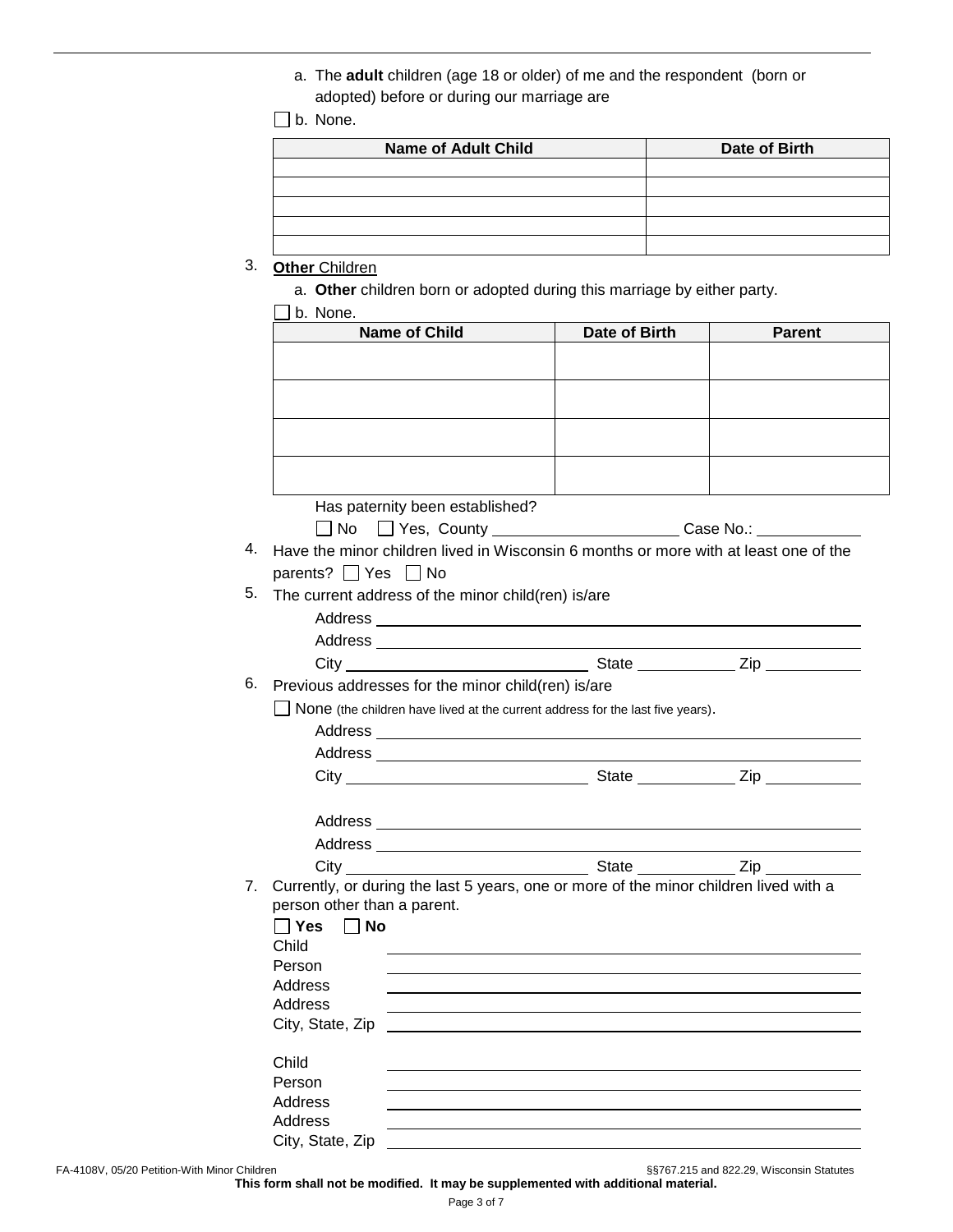a. The **adult** children (age 18 or older) of me and the respondent (born or adopted) before or during our marriage are

b. None.

| <b>Name of Adult Child</b> | Date of Birth |
|----------------------------|---------------|
|                            |               |
|                            |               |
|                            |               |
|                            |               |
|                            |               |

# 3. **Other** Children

a. **Other** children born or adopted during this marriage by either party.

| <b>Name of Child</b>                                                                  | Date of Birth                                                                  | <b>Parent</b> |
|---------------------------------------------------------------------------------------|--------------------------------------------------------------------------------|---------------|
|                                                                                       |                                                                                |               |
|                                                                                       |                                                                                |               |
|                                                                                       |                                                                                |               |
|                                                                                       |                                                                                |               |
|                                                                                       |                                                                                |               |
|                                                                                       |                                                                                |               |
|                                                                                       |                                                                                |               |
| Has paternity been established?                                                       |                                                                                |               |
|                                                                                       |                                                                                |               |
| Have the minor children lived in Wisconsin 6 months or more with at least one of the  |                                                                                |               |
| parents? $\Box$ Yes $\Box$ No                                                         |                                                                                |               |
| The current address of the minor child(ren) is/are                                    |                                                                                |               |
|                                                                                       |                                                                                |               |
|                                                                                       |                                                                                |               |
|                                                                                       |                                                                                |               |
| Previous addresses for the minor child(ren) is/are                                    |                                                                                |               |
|                                                                                       | None (the children have lived at the current address for the last five years). |               |
|                                                                                       |                                                                                |               |
|                                                                                       |                                                                                |               |
|                                                                                       |                                                                                |               |
|                                                                                       |                                                                                |               |
|                                                                                       |                                                                                |               |
|                                                                                       |                                                                                |               |
|                                                                                       |                                                                                |               |
| Currently, or during the last 5 years, one or more of the minor children lived with a |                                                                                |               |
| person other than a parent.                                                           |                                                                                |               |
| $\Box$ Yes $\Box$ No                                                                  |                                                                                |               |
| Child                                                                                 |                                                                                |               |
| Person                                                                                |                                                                                |               |
| Address<br><b>Address</b>                                                             |                                                                                |               |
| City, State, Zip                                                                      |                                                                                |               |
|                                                                                       |                                                                                |               |
| Child                                                                                 |                                                                                |               |
| Person                                                                                |                                                                                |               |
| <b>Address</b>                                                                        |                                                                                |               |
| <b>Address</b>                                                                        |                                                                                |               |
| City, State, Zip                                                                      |                                                                                |               |

**This form shall not be modified. It may be supplemented with additional material.**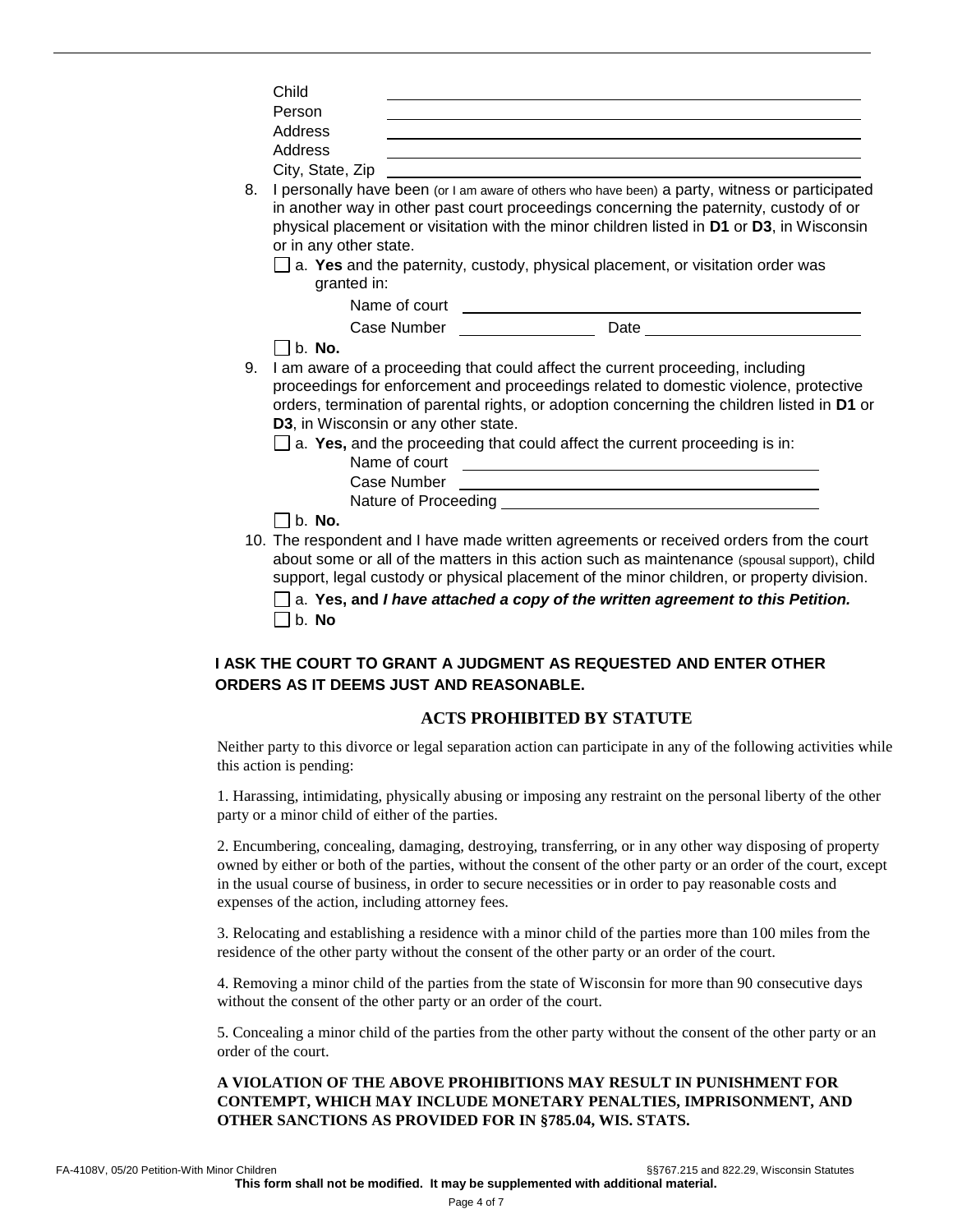|    | Child                                |                                                                                                 |  |
|----|--------------------------------------|-------------------------------------------------------------------------------------------------|--|
|    | Person                               |                                                                                                 |  |
|    | Address                              |                                                                                                 |  |
|    | Address                              |                                                                                                 |  |
|    |                                      |                                                                                                 |  |
| 8. |                                      | I personally have been (or I am aware of others who have been) a party, witness or participated |  |
|    |                                      | in another way in other past court proceedings concerning the paternity, custody of or          |  |
|    |                                      | physical placement or visitation with the minor children listed in D1 or D3, in Wisconsin       |  |
|    | or in any other state.               |                                                                                                 |  |
|    |                                      | $\Box$ a. Yes and the paternity, custody, physical placement, or visitation order was           |  |
|    | granted in:                          |                                                                                                 |  |
|    |                                      |                                                                                                 |  |
|    |                                      |                                                                                                 |  |
|    | $\vert \vert$ b. No.                 |                                                                                                 |  |
| 9. |                                      | I am aware of a proceeding that could affect the current proceeding, including                  |  |
|    |                                      | proceedings for enforcement and proceedings related to domestic violence, protective            |  |
|    |                                      | orders, termination of parental rights, or adoption concerning the children listed in D1 or     |  |
|    | D3, in Wisconsin or any other state. |                                                                                                 |  |
|    |                                      | $\Box$ a. Yes, and the proceeding that could affect the current proceeding is in:               |  |
|    |                                      |                                                                                                 |  |
|    |                                      |                                                                                                 |  |
|    |                                      |                                                                                                 |  |
|    | $\Box$ b. No.                        |                                                                                                 |  |
|    |                                      | 10. The respondent and I have made written agreements or received orders from the court         |  |
|    |                                      | about some or all of the matters in this action such as maintenance (spousal support), child    |  |
|    |                                      | support, legal custody or physical placement of the minor children, or property division.       |  |
|    |                                      | a. Yes, and I have attached a copy of the written agreement to this Petition.                   |  |
|    | b. No                                |                                                                                                 |  |

# **I ASK THE COURT TO GRANT A JUDGMENT AS REQUESTED AND ENTER OTHER ORDERS AS IT DEEMS JUST AND REASONABLE.**

#### **ACTS PROHIBITED BY STATUTE**

Neither party to this divorce or legal separation action can participate in any of the following activities while this action is pending:

1. Harassing, intimidating, physically abusing or imposing any restraint on the personal liberty of the other party or a minor child of either of the parties.

2. Encumbering, concealing, damaging, destroying, transferring, or in any other way disposing of property owned by either or both of the parties, without the consent of the other party or an order of the court, except in the usual course of business, in order to secure necessities or in order to pay reasonable costs and expenses of the action, including attorney fees.

3. Relocating and establishing a residence with a minor child of the parties more than 100 miles from the residence of the other party without the consent of the other party or an order of the court.

4. Removing a minor child of the parties from the state of Wisconsin for more than 90 consecutive days without the consent of the other party or an order of the court.

5. Concealing a minor child of the parties from the other party without the consent of the other party or an order of the court.

#### **A VIOLATION OF THE ABOVE PROHIBITIONS MAY RESULT IN PUNISHMENT FOR CONTEMPT, WHICH MAY INCLUDE MONETARY PENALTIES, IMPRISONMENT, AND OTHER SANCTIONS AS PROVIDED FOR IN §785.04, WIS. STATS.**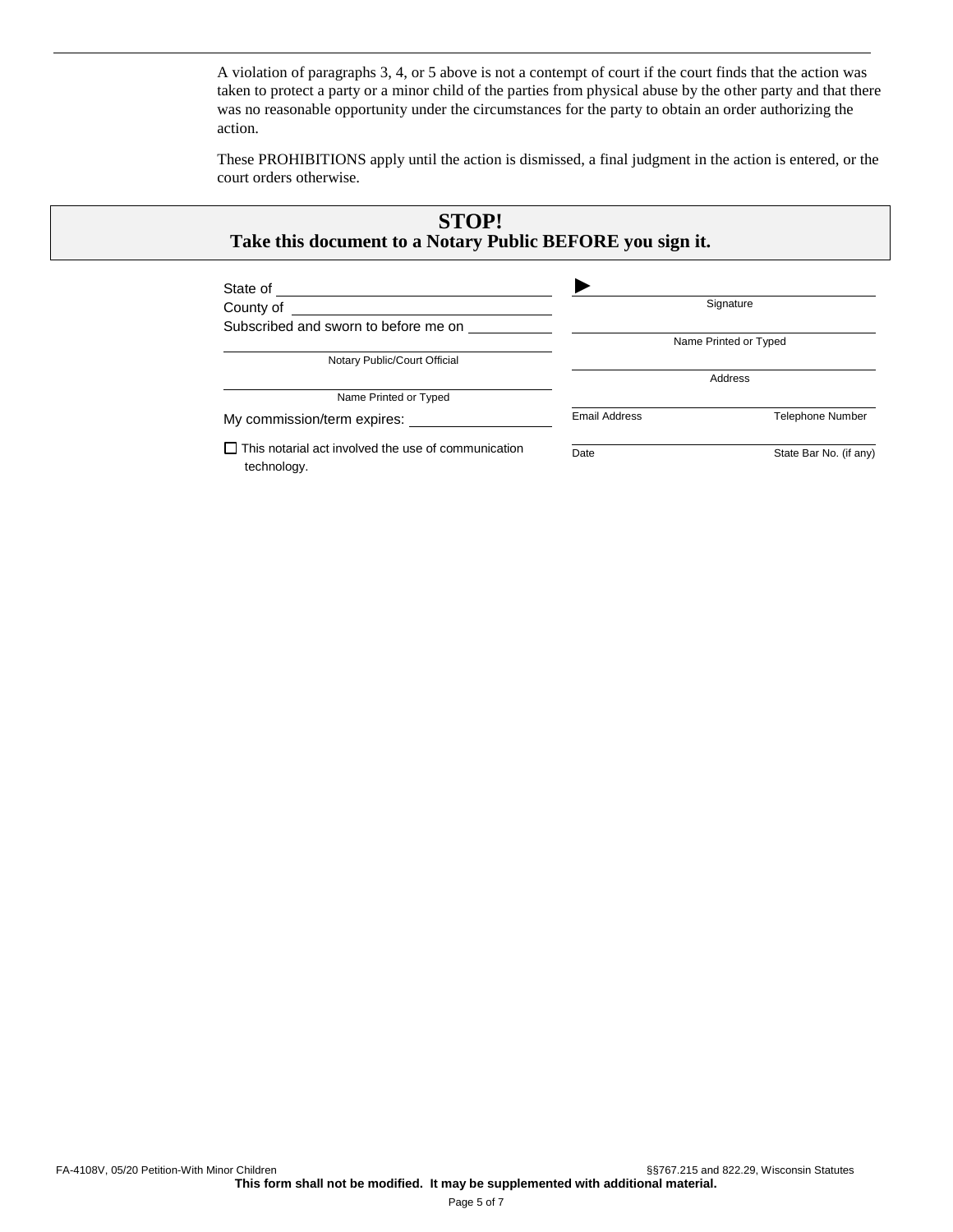A violation of paragraphs 3, 4, or 5 above is not a contempt of court if the court finds that the action was taken to protect a party or a minor child of the parties from physical abuse by the other party and that there was no reasonable opportunity under the circumstances for the party to obtain an order authorizing the action.

These PROHIBITIONS apply until the action is dismissed, a final judgment in the action is entered, or the court orders otherwise.

Date **State Bar No.** (if any)

| <b>STOP!</b><br>Take this document to a Notary Public BEFORE you sign it. |                      |                         |
|---------------------------------------------------------------------------|----------------------|-------------------------|
| State of                                                                  |                      |                         |
| County of                                                                 |                      | Signature               |
| Subscribed and sworn to before me on                                      |                      |                         |
|                                                                           |                      | Name Printed or Typed   |
| Notary Public/Court Official                                              |                      |                         |
|                                                                           |                      | Address                 |
| Name Printed or Typed                                                     |                      |                         |
| My commission/term expires:                                               | <b>Email Address</b> | <b>Telephone Number</b> |

 $\Box$  This notarial act involved the use of communication technology.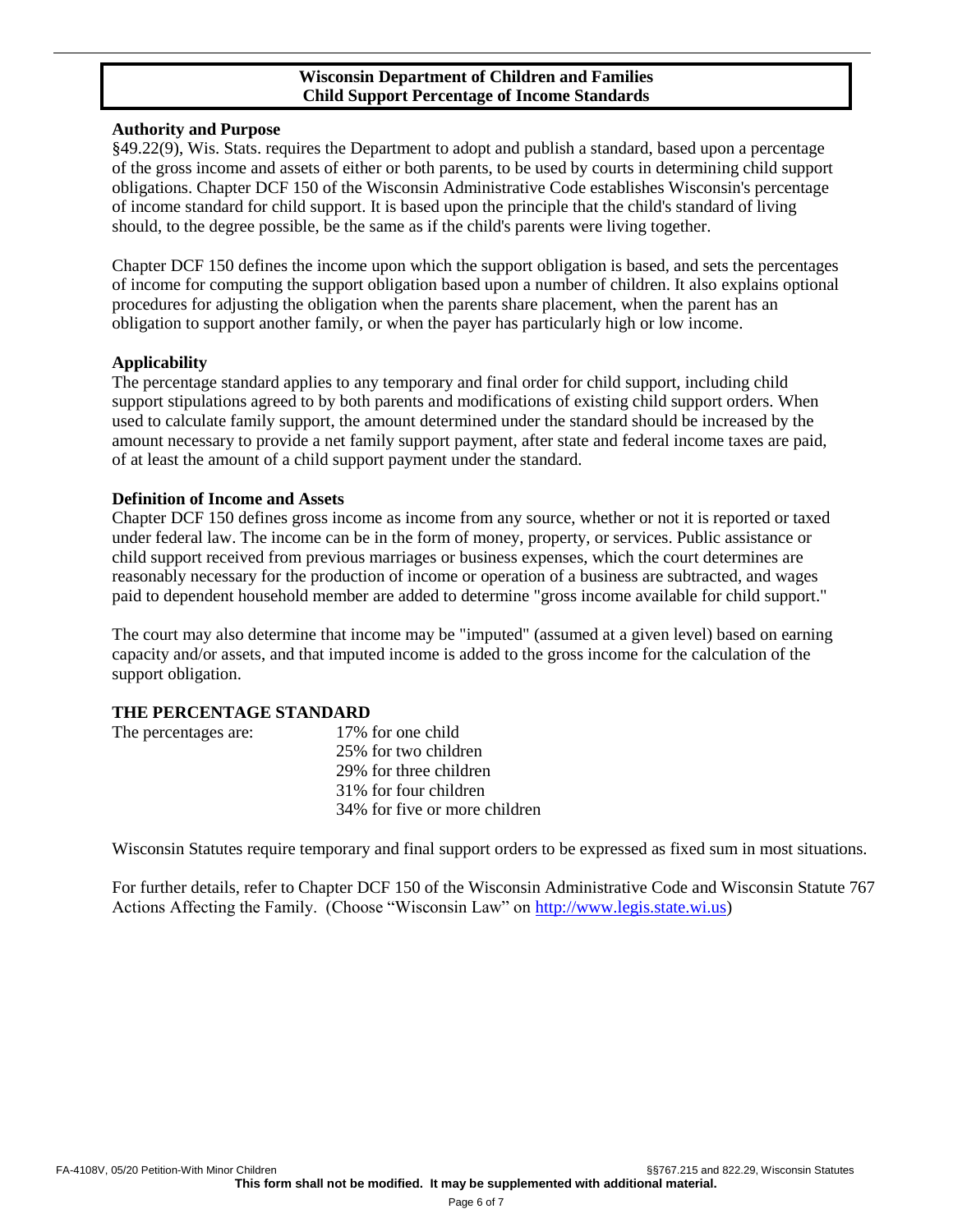# **Wisconsin Department of Children and Families Child Support Percentage of Income Standards**

#### **Authority and Purpose**

§49.22(9), Wis. Stats. requires the Department to adopt and publish a standard, based upon a percentage of the gross income and assets of either or both parents, to be used by courts in determining child support obligations. Chapter DCF 150 of the Wisconsin Administrative Code establishes Wisconsin's percentage of income standard for child support. It is based upon the principle that the child's standard of living should, to the degree possible, be the same as if the child's parents were living together.

Chapter DCF 150 defines the income upon which the support obligation is based, and sets the percentages of income for computing the support obligation based upon a number of children. It also explains optional procedures for adjusting the obligation when the parents share placement, when the parent has an obligation to support another family, or when the payer has particularly high or low income.

### **Applicability**

The percentage standard applies to any temporary and final order for child support, including child support stipulations agreed to by both parents and modifications of existing child support orders. When used to calculate family support, the amount determined under the standard should be increased by the amount necessary to provide a net family support payment, after state and federal income taxes are paid, of at least the amount of a child support payment under the standard.

### **Definition of Income and Assets**

Chapter DCF 150 defines gross income as income from any source, whether or not it is reported or taxed under federal law. The income can be in the form of money, property, or services. Public assistance or child support received from previous marriages or business expenses, which the court determines are reasonably necessary for the production of income or operation of a business are subtracted, and wages paid to dependent household member are added to determine "gross income available for child support."

The court may also determine that income may be "imputed" (assumed at a given level) based on earning capacity and/or assets, and that imputed income is added to the gross income for the calculation of the support obligation.

#### **THE PERCENTAGE STANDARD**

| The percentages are: | 17% for one child             |
|----------------------|-------------------------------|
|                      | 25% for two children          |
|                      | 29% for three children        |
|                      | 31% for four children         |
|                      | 34% for five or more children |
|                      |                               |

Wisconsin Statutes require temporary and final support orders to be expressed as fixed sum in most situations.

For further details, refer to Chapter DCF 150 of the Wisconsin Administrative Code and Wisconsin Statute 767 Actions Affecting the Family. (Choose "Wisconsin Law" on [http://www.legis.state.wi.us\)](http://www.legis.state.wi.us/)